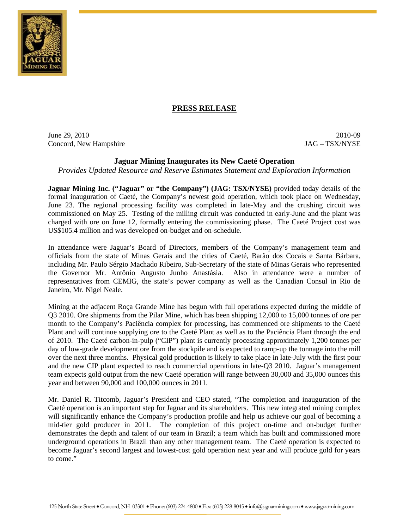

# **PRESS RELEASE**

June 29, 2010 2010-09 Concord, New Hampshire JAG – TSX/NYSE

# **Jaguar Mining Inaugurates its New Caeté Operation**

*Provides Updated Resource and Reserve Estimates Statement and Exploration Information*

**Jaguar Mining Inc. ("Jaguar" or "the Company") (JAG: TSX/NYSE)** provided today details of the formal inauguration of Caeté, the Company's newest gold operation, which took place on Wednesday, June 23. The regional processing facility was completed in late-May and the crushing circuit was commissioned on May 25. Testing of the milling circuit was conducted in early-June and the plant was charged with ore on June 12, formally entering the commissioning phase. The Caeté Project cost was US\$105.4 million and was developed on-budget and on-schedule.

In attendance were Jaguar's Board of Directors, members of the Company's management team and officials from the state of Minas Gerais and the cities of Caeté, Barão dos Cocais e Santa Bárbara, including Mr. Paulo Sérgio Machado Ribeiro, Sub-Secretary of the state of Minas Gerais who represented the Governor Mr. Antônio Augusto Junho Anastásia. Also in attendance were a number of representatives from CEMIG, the state's power company as well as the Canadian Consul in Rio de Janeiro, Mr. Nigel Neale.

Mining at the adjacent Roça Grande Mine has begun with full operations expected during the middle of Q3 2010. Ore shipments from the Pilar Mine, which has been shipping 12,000 to 15,000 tonnes of ore per month to the Company's Paciência complex for processing, has commenced ore shipments to the Caeté Plant and will continue supplying ore to the Caeté Plant as well as to the Paciência Plant through the end of 2010. The Caeté carbon-in-pulp ("CIP") plant is currently processing approximately 1,200 tonnes per day of low-grade development ore from the stockpile and is expected to ramp-up the tonnage into the mill over the next three months. Physical gold production is likely to take place in late-July with the first pour and the new CIP plant expected to reach commercial operations in late-Q3 2010. Jaguar's management team expects gold output from the new Caeté operation will range between 30,000 and 35,000 ounces this year and between 90,000 and 100,000 ounces in 2011.

Mr. Daniel R. Titcomb, Jaguar's President and CEO stated, "The completion and inauguration of the Caeté operation is an important step for Jaguar and its shareholders. This new integrated mining complex will significantly enhance the Company's production profile and help us achieve our goal of becoming a mid-tier gold producer in 2011. The completion of this project on-time and on-budget further demonstrates the depth and talent of our team in Brazil; a team which has built and commissioned more underground operations in Brazil than any other management team. The Caeté operation is expected to become Jaguar's second largest and lowest-cost gold operation next year and will produce gold for years to come."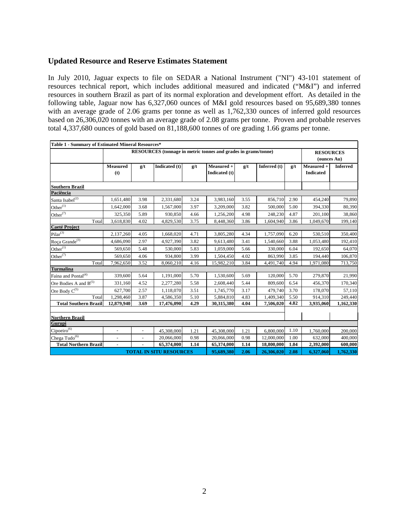# **Updated Resource and Reserve Estimates Statement**

In July 2010, Jaguar expects to file on SEDAR a National Instrument ("NI") 43-101 statement of resources technical report, which includes additional measured and indicated ("M&I") and inferred resources in southern Brazil as part of its normal exploration and development effort. As detailed in the following table, Jaguar now has 6,327,060 ounces of M&I gold resources based on 95,689,380 tonnes with an average grade of 2.06 grams per tonne as well as  $1,762,330$  ounces of inferred gold resources based on 26,306,020 tonnes with an average grade of 2.08 grams per tonne. Proven and probable reserves total 4,337,680 ounces of gold based on 81,188,600 tonnes of ore grading 1.66 grams per tonne.

| Table 1 - Summary of Estimated Mineral Resources* |                                                                |                          |               |      |                             |      |              |                  |                                |                 |
|---------------------------------------------------|----------------------------------------------------------------|--------------------------|---------------|------|-----------------------------|------|--------------|------------------|--------------------------------|-----------------|
|                                                   | RESOURCES (tonnage in metric tonnes and grades in grams/tonne) |                          |               |      |                             |      |              | <b>RESOURCES</b> |                                |                 |
|                                                   |                                                                |                          |               |      |                             |      | (ounces Au)  |                  |                                |                 |
|                                                   | Measured<br>(t)                                                | g/t                      | Indicated (t) | g/t  | Measured +<br>Indicated (t) | g/t  | Inferred (t) | g/t              | Measured +<br><b>Indicated</b> | <b>Inferred</b> |
| <b>Southern Brazil</b>                            |                                                                |                          |               |      |                             |      |              |                  |                                |                 |
| Paciência                                         |                                                                |                          |               |      |                             |      |              |                  |                                |                 |
| Santa Isabel <sup>(2)</sup>                       | 1,651,480                                                      | 3.98                     | 2,331,680     | 3.24 | 3,983,160                   | 3.55 | 856,710      | 2.90             | 454,240                        | 79,890          |
| Other <sup>(1)</sup>                              | 1,642,000                                                      | 3.68                     | 1,567,000     | 3.97 | 3,209,000                   | 3.82 | 500,000      | 5.00             | 394,330                        | 80,390          |
| Other <sup>(7)</sup>                              | 325,350                                                        | 5.89                     | 930,850       | 4.66 | 1,256,200                   | 4.98 | 248,230      | 4.87             | 201,100                        | 38,860          |
| Total                                             | 3,618,830                                                      | 4.02                     | 4,829,530     | 3.75 | 8,448,360                   | 3.86 | 1,604,940    | 3.86             | 1,049,670                      | 199,140         |
| Caeté Project                                     |                                                                |                          |               |      |                             |      |              |                  |                                |                 |
| ${\rm Pilar}^{(3)}$                               | 2,137,260                                                      | 4.05                     | 1,668,020     | 4.71 | 3,805,280                   | 4.34 | 1,757,090    | 6.20             | 530,510                        | 350,400         |
| Roça Grande <sup>(3)</sup>                        | 4,686,090                                                      | 2.97                     | 4,927,390     | 3.82 | 9,613,480                   | 3.41 | 1,540,660    | 3.88             | 1,053,480                      | 192,410         |
| Other $^{(1)}$                                    | 569,650                                                        | 5.48                     | 530,000       | 5.83 | 1,059,000                   | 5.66 | 330,000      | 6.04             | 192,650                        | 64,070          |
| Other $(7)$                                       | 569,650                                                        | 4.06                     | 934,800       | 3.99 | 1,504,450                   | 4.02 | 863,990      | 3.85             | 194,440                        | 106,870         |
| Total                                             | 7,962,650                                                      | 3.52                     | 8,060,210     | 4.16 | 15,982,210                  | 3.84 | 4,491,740    | 4.94             | 1,971,080                      | 713,750         |
| <b>Turmalina</b>                                  |                                                                |                          |               |      |                             |      |              |                  |                                |                 |
| Faina and Pontal <sup>(4)</sup>                   | 339,600                                                        | 5.64                     | 1,191,000     | 5.70 | 1,530,600                   | 5.69 | 120,000      | 5.70             | 279,870                        | 21,990          |
| Ore Bodies A and $B^{(5)}$                        | 331,160                                                        | 4.52                     | 2,277,280     | 5.58 | 2,608,440                   | 5.44 | 809,600      | 6.54             | 456,370                        | 170,340         |
| Ore Body $C^{(5)}$                                | 627,700                                                        | 2.57                     | 1,118,070     | 3.51 | 1,745,770                   | 3.17 | 479,740      | 3.70             | 178,070                        | 57,110          |
| Total                                             | 1,298,460                                                      | 3.87                     | 4,586,350     | 5.10 | 5,884,810                   | 4.83 | 1,409,340    | 5.50             | 914,310                        | 249,440         |
| <b>Total Southern Brazil</b>                      | 12,879,940                                                     | 3.69                     | 17,476,090    | 4.29 | 30,315,380                  | 4.04 | 7,506,020    | 4.82             | 3,935,060                      | 1,162,330       |
| <b>Northern Brazil</b>                            |                                                                |                          |               |      |                             |      |              |                  |                                |                 |
| Gurupi                                            |                                                                |                          |               |      |                             |      |              |                  |                                |                 |
| Cipoeiro <sup>(6)</sup>                           | $\overline{\phantom{a}}$                                       | $\overline{\phantom{a}}$ | 45,308,000    | 1.21 | 45,308,000                  | 1.21 | 6,800,000    | 1.10             | 1,760,000                      | 200,000         |
| Chega Tudo <sup>(6)</sup>                         | L.                                                             |                          | 20,066,000    | 0.98 | 20,066,000                  | 0.98 | 12,000,000   | 1.00             | 632,000                        | 400,000         |
| <b>Total Northern Brazil</b>                      | $\overline{\phantom{a}}$                                       |                          | 65,374,000    | 1.14 | 65,374,000                  | 1.14 | 18,800,000   | 1.04             | 2,392,000                      | 600,000         |
|                                                   | <b>TOTAL IN SITU RESOURCES</b>                                 |                          |               |      | 95,689,380                  | 2.06 | 26,306,020   | 2.08             | 6,327,060                      | 1,762,330       |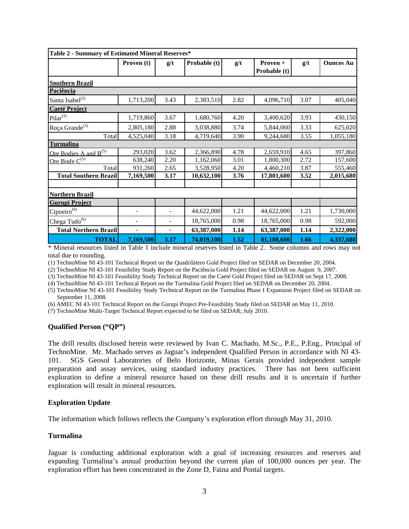| Table 2 - Summary of Estimated Mineral Reserves* |                |                |              |      |                          |      |                  |  |
|--------------------------------------------------|----------------|----------------|--------------|------|--------------------------|------|------------------|--|
|                                                  | Proven (t)     | g/t            | Probable (t) | g/t  | Proven +<br>Probable (t) | g/t  | <b>Ounces Au</b> |  |
| <b>Southern Brazil</b>                           |                |                |              |      |                          |      |                  |  |
| <b>Paciência</b>                                 |                |                |              |      |                          |      |                  |  |
| Santa Isabel <sup>(2)</sup>                      | 1,713,200      | 3.43           | 2,383,510    | 2.82 | 4,096,710                | 3.07 | 405,040          |  |
| <b>Caeté Project</b>                             |                |                |              |      |                          |      |                  |  |
| $Pilar^{(3)}$                                    | 1,719,860      | 3.67           | 1,680,760    | 4.20 | 3,400,620                | 3.93 | 430,150          |  |
| Roça Grande <sup>(3)</sup>                       | 2,805,180      | 2.88           | 3,038,880    | 3.74 | 5,844,060                | 3.33 | 625,020          |  |
| Total                                            | 4,525,040      | 3.18           | 4,719,640    | 3.90 | 9,244,680                | 3.55 | 1,055,180        |  |
| <b>Turmalina</b>                                 |                |                |              |      |                          |      |                  |  |
| Ore Bodies A and $B^{(5)}$                       | 293,020        | 3.62           | 2,366,890    | 4.78 | 2,659,910                | 4.65 | 397,860          |  |
| Ore Body $C^{(5)}$                               | 638,240        | 2.20           | 1,162,060    | 3.01 | 1,800,300                | 2.72 | 157,600          |  |
| Total                                            | 931,260        | 2.65           | 3,528,950    | 4.20 | 4,460,210                | 3.87 | 555,460          |  |
| <b>Total Southern Brazil</b>                     | 7,169,500      | 3.17           | 10,632,100   | 3.76 | 17,801,600               | 3.52 | 2,015,680        |  |
| <b>Northern Brazil</b>                           |                |                |              |      |                          |      |                  |  |
| <b>Gurupi Project</b>                            |                |                |              |      |                          |      |                  |  |
| Cipoeiro <sup>(6)</sup>                          | ۰              | $\blacksquare$ | 44,622,000   | 1.21 | 44,622,000               | 1.21 | 1,730,000        |  |
| Chega Tudo <sup>(6)</sup>                        | $\blacksquare$ | $\overline{a}$ | 18,765,000   | 0.98 | 18,765,000               | 0.98 | 592,000          |  |
| <b>Total Northern Brazil</b>                     |                |                | 63,387,000   | 1.14 | 63,387,000               | 1.14 | 2,322,000        |  |
| <b>TOTAL</b>                                     | 7,169,500      | 3.17           | 74,019,100   | 1.52 | 81,188,600               | 1.66 | 4,337,680        |  |

\* Mineral resources listed in Table 1 include mineral reserves listed in Table 2. Some columns and rows may not total due to rounding.

(1) TechnoMine NI 43-101 Technical Report on the Quadrilátero Gold Project filed on SEDAR on December 20, 2004.

(2) TechnoMine NI 43-101 Feasibility Study Report on the Paciência Gold Project filed on SEDAR on August 9, 2007.

(3) TechnoMine NI 43-101 Feasibility Study Technical Report on the Caeté Gold Project filed on SEDAR on Sept 17, 2008.

(4) TechnoMine NI 43-101 Technical Report on the Turmalina Gold Project filed on SEDAR on December 20, 2004.

(5) TechnoMine NI 43-101 Feasibility Study Technical Report on the Turmalina Phase I Expansion Project filed on SEDAR on September 11, 2008.

(6) AMEC NI 43-101 Technical Report on the Gurupi Project Pre-Feasibility Study filed on SEDAR on May 11, 2010.

(7) TechnoMine Multi-Target Technical Report expected to be filed on SEDAR; July 2010.

### **Qualified Person ("QP")**

The drill results disclosed herein were reviewed by Ivan C. Machado, M.Sc., P.E., P.Eng., Principal of TechnoMine. Mr. Machado serves as Jaguar's independent Qualified Person in accordance with NI 43- 101. SGS Geosol Laboratories of Belo Horizonte, Minas Gerais provided independent sample preparation and assay services, using standard industry practices. There has not been sufficient exploration to define a mineral resource based on these drill results and it is uncertain if further exploration will result in mineral resources.

### **Exploration Update**

The information which follows reflects the Company's exploration effort through May 31, 2010.

# **Turmalina**

Jaguar is conducting additional exploration with a goal of increasing resources and reserves and expanding Turmalina's annual production beyond the current plan of 100,000 ounces per year. The exploration effort has been concentrated in the Zone D, Faina and Pontal targets.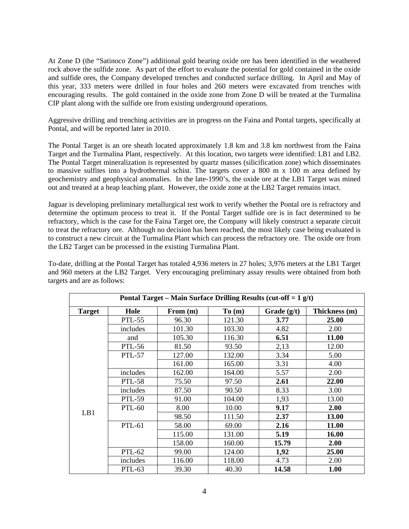At Zone D (the "Satinoco Zone") additional gold bearing oxide ore has been identified in the weathered rock above the sulfide zone. As part of the effort to evaluate the potential for gold contained in the oxide and sulfide ores, the Company developed trenches and conducted surface drilling. In April and May of this year, 333 meters were drilled in four holes and 260 meters were excavated from trenches with encouraging results. The gold contained in the oxide zone from Zone D will be treated at the Turmalina CIP plant along with the sulfide ore from existing underground operations.

Aggressive drilling and trenching activities are in progress on the Faina and Pontal targets, specifically at Pontal, and will be reported later in 2010.

The Pontal Target is an ore sheath located approximately 1.8 km and 3.8 km northwest from the Faina Target and the Turmalina Plant, respectively. At this location, two targets were identified: LB1 and LB2. The Pontal Target mineralization is represented by quartz masses (silicification zone) which disseminates to massive sulfites into a hydrothermal schist. The targets cover a 800 m x 100 m area defined by geochemistry and geophysical anomalies. In the late-1990's, the oxide ore at the LB1 Target was mined out and treated at a heap leaching plant. However, the oxide zone at the LB2 Target remains intact.

Jaguar is developing preliminary metallurgical test work to verify whether the Pontal ore is refractory and determine the optimum process to treat it. If the Pontal Target sulfide ore is in fact determined to be refractory, which is the case for the Faina Target ore, the Company will likely construct a separate circuit to treat the refractory ore. Although no decision has been reached, the most likely case being evaluated is to construct a new circuit at the Turmalina Plant which can process the refractory ore. The oxide ore from the LB2 Target can be processed in the existing Turmalina Plant.

To-date, drilling at the Pontal Target has totaled 4,936 meters in 27 holes; 3,976 meters at the LB1 Target and 960 meters at the LB2 Target. Very encouraging preliminary assay results were obtained from both targets and are as follows:

| Pontal Target – Main Surface Drilling Results (cut-off = $1 g/t$ ) |               |          |        |               |               |  |  |
|--------------------------------------------------------------------|---------------|----------|--------|---------------|---------------|--|--|
| <b>Target</b>                                                      | Hole          | From (m) | To(m)  | Grade $(g/t)$ | Thickness (m) |  |  |
|                                                                    | <b>PTL-55</b> | 96.30    | 121.30 | 3.77          | 25.00         |  |  |
|                                                                    | includes      | 101.30   | 103.30 | 4.82          | 2.00          |  |  |
|                                                                    | and           | 105.30   | 116.30 | 6.51          | 11.00         |  |  |
|                                                                    | <b>PTL-56</b> | 81.50    | 93.50  | 2,13          | 12.00         |  |  |
|                                                                    | <b>PTL-57</b> | 127.00   | 132.00 | 3.34          | 5.00          |  |  |
|                                                                    |               | 161.00   | 165.00 | 3.31          | 4.00          |  |  |
|                                                                    | includes      | 162.00   | 164.00 | 5.57          | 2.00          |  |  |
|                                                                    | <b>PTL-58</b> | 75.50    | 97.50  | 2.61          | 22.00         |  |  |
|                                                                    | includes      | 87.50    | 90.50  | 8.33          | 3.00          |  |  |
|                                                                    | <b>PTL-59</b> | 91.00    | 104.00 | 1,93          | 13.00         |  |  |
|                                                                    | <b>PTL-60</b> | 8.00     | 10.00  | 9.17          | 2.00          |  |  |
| LB1                                                                |               | 98.50    | 111.50 | 2.37          | 13.00         |  |  |
|                                                                    | <b>PTL-61</b> | 58.00    | 69.00  | 2.16          | 11.00         |  |  |
|                                                                    |               | 115.00   | 131.00 | 5.19          | 16.00         |  |  |
|                                                                    |               | 158.00   | 160.00 | 15.79         | 2.00          |  |  |
|                                                                    | PTL-62        | 99.00    | 124.00 | 1,92          | 25.00         |  |  |
|                                                                    | includes      | 116.00   | 118.00 | 4.73          | 2.00          |  |  |
|                                                                    | PTL-63        | 39.30    | 40.30  | 14.58         | 1.00          |  |  |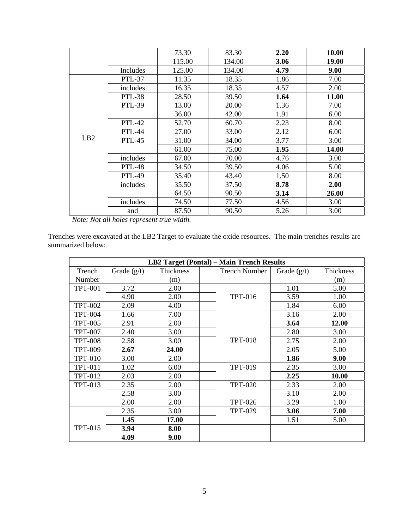|     |               | 73.30  | 83.30  | 2.20 | 10.00 |
|-----|---------------|--------|--------|------|-------|
|     |               | 115.00 | 134.00 | 3.06 | 19.00 |
|     | Includes      | 125.00 | 134.00 | 4.79 | 9.00  |
|     | PTL-37        | 11.35  | 18.35  | 1.86 | 7.00  |
|     | includes      | 16.35  | 18.35  | 4.57 | 2.00  |
|     | <b>PTL-38</b> | 28.50  | 39.50  | 1.64 | 11.00 |
|     | <b>PTL-39</b> | 13.00  | 20.00  | 1.36 | 7.00  |
|     |               | 36.00  | 42.00  | 1.91 | 6.00  |
|     | <b>PTL-42</b> | 52.70  | 60.70  | 2.23 | 8.00  |
|     | <b>PTL-44</b> | 27.00  | 33.00  | 2.12 | 6.00  |
| LB2 | <b>PTL-45</b> | 31.00  | 34.00  | 3.77 | 3.00  |
|     |               | 61.00  | 75.00  | 1.95 | 14.00 |
|     | includes      | 67.00  | 70.00  | 4.76 | 3.00  |
|     | <b>PTL-48</b> | 34.50  | 39.50  | 4.06 | 5.00  |
|     | <b>PTL-49</b> | 35.40  | 43.40  | 1.50 | 8.00  |
|     | includes      | 35.50  | 37.50  | 8.78 | 2.00  |
|     |               | 64.50  | 90.50  | 3.14 | 26.00 |
|     | includes      | 74.50  | 77.50  | 4.56 | 3.00  |
|     | and           | 87.50  | 90.50  | 5.26 | 3.00  |

*Note: Not all holes represent true width.* 

Trenches were excavated at the LB2 Target to evaluate the oxide resources. The main trenches results are summarized below:

| <b>LB2 Target (Pontal) – Main Trench Results</b> |               |                  |  |                      |               |                  |  |
|--------------------------------------------------|---------------|------------------|--|----------------------|---------------|------------------|--|
| Trench                                           | Grade $(g/t)$ | <b>Thickness</b> |  | <b>Trench Number</b> | Grade $(g/t)$ | <b>Thickness</b> |  |
| Number                                           |               | (m)              |  |                      |               | (m)              |  |
| <b>TPT-001</b>                                   | 3.72          | 2.00             |  |                      | 1.01          | 5.00             |  |
|                                                  | 4.90          | 2.00             |  | <b>TPT-016</b>       | 3.59          | 1.00             |  |
| <b>TPT-002</b>                                   | 2.09          | 4.00             |  |                      | 1.84          | 6.00             |  |
| <b>TPT-004</b>                                   | 1.66          | 7.00             |  |                      | 3.16          | 2.00             |  |
| <b>TPT-005</b>                                   | 2.91          | 2.00             |  |                      | 3.64          | <b>12.00</b>     |  |
| <b>TPT-007</b>                                   | 2.40          | 3.00             |  |                      | 2.80          | 3.00             |  |
| <b>TPT-008</b>                                   | 2.58          | 3.00             |  | <b>TPT-018</b>       | 2.75          | 2.00             |  |
| <b>TPT-009</b>                                   | 2.67          | 24.00            |  |                      | 2.05          | 5.00             |  |
| <b>TPT-010</b>                                   | 3.00          | 2.00             |  |                      | 1.86          | 9.00             |  |
| <b>TPT-011</b>                                   | 1.02          | 6.00             |  | <b>TPT-019</b>       | 2.35          | 3.00             |  |
| <b>TPT-012</b>                                   | 2.03          | 2.00             |  |                      | 2.25          | 10.00            |  |
| <b>TPT-013</b>                                   | 2.35          | 2.00             |  | <b>TPT-020</b>       | 2.33          | 2.00             |  |
|                                                  | 2.58          | 3.00             |  |                      | 3.10          | 2.00             |  |
|                                                  | 2.00          | 2.00             |  | <b>TPT-026</b>       | 3.29          | 1.00             |  |
|                                                  | 2.35          | 3.00             |  | <b>TPT-029</b>       | 3.06          | 7.00             |  |
|                                                  | 1.45          | 17.00            |  |                      | 1.51          | 5.00             |  |
| <b>TPT-015</b>                                   | 3.94          | 8.00             |  |                      |               |                  |  |
|                                                  | 4.09          | 9.00             |  |                      |               |                  |  |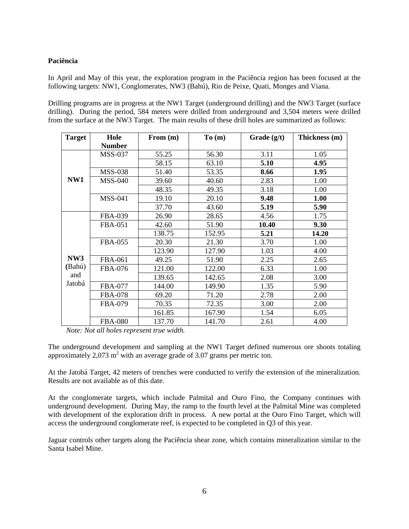# **Paciência**

In April and May of this year, the exploration program in the Paciência region has been focused at the following targets: NW1, Conglomerates, NW3 (Bahú), Rio de Peixe, Quati, Monges and Viana.

Drilling programs are in progress at the NW1 Target (underground drilling) and the NW3 Target (surface drilling). During the period, 584 meters were drilled from underground and 3,504 meters were drilled from the surface at the NW3 Target. The main results of these drill holes are summarized as follows:

| <b>Target</b> | Hole           | From $(m)$ | To(m)  | Grade $(g/t)$ | Thickness (m) |
|---------------|----------------|------------|--------|---------------|---------------|
|               | <b>Number</b>  |            |        |               |               |
|               | <b>MSS-037</b> | 55.25      | 56.30  | 3.11          | 1.05          |
|               |                | 58.15      | 63.10  | 5.10          | 4.95          |
|               | <b>MSS-038</b> | 51.40      | 53.35  | 8.66          | 1.95          |
| NW1           | <b>MSS-040</b> | 39.60      | 40.60  | 2.83          | 1.00          |
|               |                | 48.35      | 49.35  | 3.18          | 1.00          |
|               | <b>MSS-041</b> | 19.10      | 20.10  | 9.48          | 1.00          |
|               |                | 37.70      | 43.60  | 5.19          | 5.90          |
|               | FBA-039        | 26.90      | 28.65  | 4.56          | 1.75          |
|               | FBA-051        | 42.60      | 51.90  | 10.40         | 9.30          |
|               |                | 138.75     | 152.95 | 5.21          | 14.20         |
|               | <b>FBA-055</b> | 20.30      | 21.30  | 3.70          | 1.00          |
|               |                | 123.90     | 127.90 | 1.03          | 4.00          |
| NW3           | FBA-061        | 49.25      | 51.90  | 2.25          | 2.65          |
| (Bahú)        | FBA-076        | 121.00     | 122.00 | 6.33          | 1.00          |
| and           |                | 139.65     | 142.65 | 2.08          | 3.00          |
| Jatobá        | FBA-077        | 144.00     | 149.90 | 1.35          | 5.90          |
|               | <b>FBA-078</b> | 69.20      | 71.20  | 2.78          | 2.00          |
|               | FBA-079        | 70.35      | 72.35  | 3.00          | 2.00          |
|               |                | 161.85     | 167.90 | 1.54          | 6.05          |
|               | <b>FBA-080</b> | 137.70     | 141.70 | 2.61          | 4.00          |

*Note: Not all holes represent true width.* 

The underground development and sampling at the NW1 Target defined numerous ore shoots totaling approximately 2,073  $m^2$  with an average grade of 3.07 grams per metric ton.

At the Jatobá Target, 42 meters of trenches were conducted to verify the extension of the mineralization. Results are not available as of this date.

At the conglomerate targets, which include Palmital and Ouro Fino, the Company continues with underground development. During May, the ramp to the fourth level at the Palmital Mine was completed with development of the exploration drift in process. A new portal at the Ouro Fino Target, which will access the underground conglomerate reef, is expected to be completed in Q3 of this year.

Jaguar controls other targets along the Paciência shear zone, which contains mineralization similar to the Santa Isabel Mine.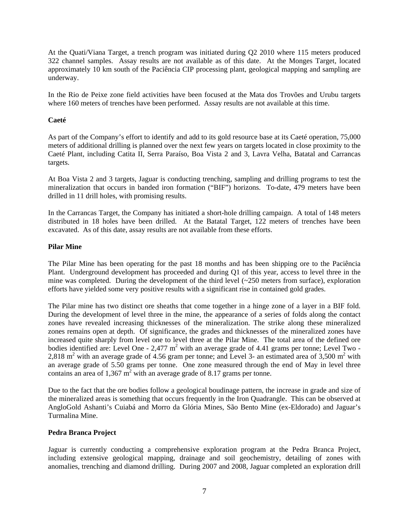At the Quati/Viana Target, a trench program was initiated during Q2 2010 where 115 meters produced 322 channel samples. Assay results are not available as of this date. At the Monges Target, located approximately 10 km south of the Paciência CIP processing plant, geological mapping and sampling are underway.

In the Rio de Peixe zone field activities have been focused at the Mata dos Trovões and Urubu targets where 160 meters of trenches have been performed. Assay results are not available at this time.

# **Caeté**

As part of the Company's effort to identify and add to its gold resource base at its Caeté operation, 75,000 meters of additional drilling is planned over the next few years on targets located in close proximity to the Caeté Plant, including Catita II, Serra Paraíso, Boa Vista 2 and 3, Lavra Velha, Batatal and Carrancas targets.

At Boa Vista 2 and 3 targets, Jaguar is conducting trenching, sampling and drilling programs to test the mineralization that occurs in banded iron formation ("BIF") horizons. To-date, 479 meters have been drilled in 11 drill holes, with promising results.

In the Carrancas Target, the Company has initiated a short-hole drilling campaign. A total of 148 meters distributed in 18 holes have been drilled. At the Batatal Target, 122 meters of trenches have been excavated. As of this date, assay results are not available from these efforts.

# **Pilar Mine**

The Pilar Mine has been operating for the past 18 months and has been shipping ore to the Paciência Plant. Underground development has proceeded and during Q1 of this year, access to level three in the mine was completed. During the development of the third level  $\langle$  -250 meters from surface), exploration efforts have yielded some very positive results with a significant rise in contained gold grades.

The Pilar mine has two distinct ore sheaths that come together in a hinge zone of a layer in a BIF fold. During the development of level three in the mine, the appearance of a series of folds along the contact zones have revealed increasing thicknesses of the mineralization. The strike along these mineralized zones remains open at depth. Of significance, the grades and thicknesses of the mineralized zones have increased quite sharply from level one to level three at the Pilar Mine. The total area of the defined ore bodies identified are: Level One - 2,477  $m^2$  with an average grade of 4.41 grams per tonne; Level Two -2,818 m<sup>2</sup> with an average grade of 4.56 gram per tonne; and Level 3- an estimated area of 3,500 m<sup>2</sup> with an average grade of 5.50 grams per tonne. One zone measured through the end of May in level three contains an area of  $1,367 \text{ m}^2$  with an average grade of 8.17 grams per tonne.

Due to the fact that the ore bodies follow a geological boudinage pattern, the increase in grade and size of the mineralized areas is something that occurs frequently in the Iron Quadrangle. This can be observed at AngloGold Ashanti's Cuiabá and Morro da Glória Mines, São Bento Mine (ex-Eldorado) and Jaguar's Turmalina Mine.

### **Pedra Branca Project**

Jaguar is currently conducting a comprehensive exploration program at the Pedra Branca Project, including extensive geological mapping, drainage and soil geochemistry, detailing of zones with anomalies, trenching and diamond drilling. During 2007 and 2008, Jaguar completed an exploration drill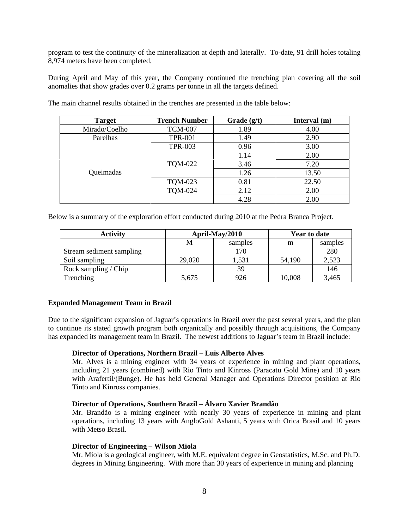program to test the continuity of the mineralization at depth and laterally. To-date, 91 drill holes totaling 8,974 meters have been completed.

During April and May of this year, the Company continued the trenching plan covering all the soil anomalies that show grades over 0.2 grams per tonne in all the targets defined.

| <b>Target</b> | <b>Trench Number</b> | Grade $(g/t)$ | Interval (m) |
|---------------|----------------------|---------------|--------------|
| Mirado/Coelho | <b>TCM-007</b>       | 1.89          | 4.00         |
| Parelhas      | <b>TPR-001</b>       | 1.49          | 2.90         |
|               | <b>TPR-003</b>       | 0.96          | 3.00         |
|               |                      | 1.14          | 2.00         |
|               | <b>TOM-022</b>       | 3.46          | 7.20         |
| Queimadas     |                      | 1.26          | 13.50        |
|               | TQM-023              | 0.81          | 22.50        |
|               | <b>TOM-024</b>       | 2.12          | 2.00         |
|               |                      | 4.28          | 2.00         |

The main channel results obtained in the trenches are presented in the table below:

Below is a summary of the exploration effort conducted during 2010 at the Pedra Branca Project.

| <b>Activity</b>          |        | April-May/2010 | <b>Year to date</b> |         |  |
|--------------------------|--------|----------------|---------------------|---------|--|
|                          |        | samples        | m                   | samples |  |
| Stream sediment sampling |        | 170            |                     | 280     |  |
| Soil sampling            | 29,020 | 1,531          | 54,190              | 2,523   |  |
| Rock sampling / Chip     |        | 39             |                     | 146     |  |
| Trenching                | 5,675  | 926            | 10,008              | 3,465   |  |

# **Expanded Management Team in Brazil**

Due to the significant expansion of Jaguar's operations in Brazil over the past several years, and the plan to continue its stated growth program both organically and possibly through acquisitions, the Company has expanded its management team in Brazil. The newest additions to Jaguar's team in Brazil include:

# **Director of Operations, Northern Brazil – Luis Alberto Alves**

Mr. Alves is a mining engineer with 34 years of experience in mining and plant operations, including 21 years (combined) with Rio Tinto and Kinross (Paracatu Gold Mine) and 10 years with Arafertil/(Bunge). He has held General Manager and Operations Director position at Rio Tinto and Kinross companies.

# **Director of Operations, Southern Brazil – Álvaro Xavier Brandão**

Mr. Brandão is a mining engineer with nearly 30 years of experience in mining and plant operations, including 13 years with AngloGold Ashanti, 5 years with Orica Brasil and 10 years with Metso Brasil.

### **Director of Engineering – Wilson Miola**

Mr. Miola is a geological engineer, with M.E. equivalent degree in Geostatistics, M.Sc. and Ph.D. degrees in Mining Engineering. With more than 30 years of experience in mining and planning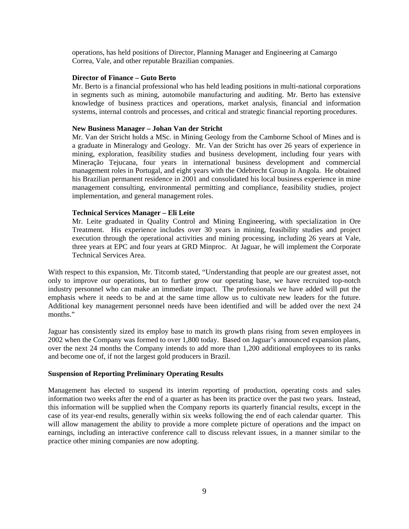operations, has held positions of Director, Planning Manager and Engineering at Camargo Correa, Vale, and other reputable Brazilian companies.

#### **Director of Finance – Guto Berto**

Mr. Berto is a financial professional who has held leading positions in multi-national corporations in segments such as mining, automobile manufacturing and auditing. Mr. Berto has extensive knowledge of business practices and operations, market analysis, financial and information systems, internal controls and processes, and critical and strategic financial reporting procedures.

### **New Business Manager – Johan Van der Stricht**

Mr. Van der Stricht holds a MSc. in Mining Geology from the Camborne School of Mines and is a graduate in Mineralogy and Geology. Mr. Van der Stricht has over 26 years of experience in mining, exploration, feasibility studies and business development, including four years with Mineração Tejucana, four years in international business development and commercial management roles in Portugal, and eight years with the Odebrecht Group in Angola. He obtained his Brazilian permanent residence in 2001 and consolidated his local business experience in mine management consulting, environmental permitting and compliance, feasibility studies, project implementation, and general management roles.

#### **Technical Services Manager – Eli Leite**

Mr. Leite graduated in Quality Control and Mining Engineering, with specialization in Ore Treatment. His experience includes over 30 years in mining, feasibility studies and project execution through the operational activities and mining processing, including 26 years at Vale, three years at EPC and four years at GRD Minproc. At Jaguar, he will implement the Corporate Technical Services Area.

With respect to this expansion, Mr. Titcomb stated, "Understanding that people are our greatest asset, not only to improve our operations, but to further grow our operating base, we have recruited top-notch industry personnel who can make an immediate impact. The professionals we have added will put the emphasis where it needs to be and at the same time allow us to cultivate new leaders for the future. Additional key management personnel needs have been identified and will be added over the next 24 months."

Jaguar has consistently sized its employ base to match its growth plans rising from seven employees in 2002 when the Company was formed to over 1,800 today. Based on Jaguar's announced expansion plans, over the next 24 months the Company intends to add more than 1,200 additional employees to its ranks and become one of, if not the largest gold producers in Brazil.

### **Suspension of Reporting Preliminary Operating Results**

Management has elected to suspend its interim reporting of production, operating costs and sales information two weeks after the end of a quarter as has been its practice over the past two years. Instead, this information will be supplied when the Company reports its quarterly financial results, except in the case of its year-end results, generally within six weeks following the end of each calendar quarter. This will allow management the ability to provide a more complete picture of operations and the impact on earnings, including an interactive conference call to discuss relevant issues, in a manner similar to the practice other mining companies are now adopting.